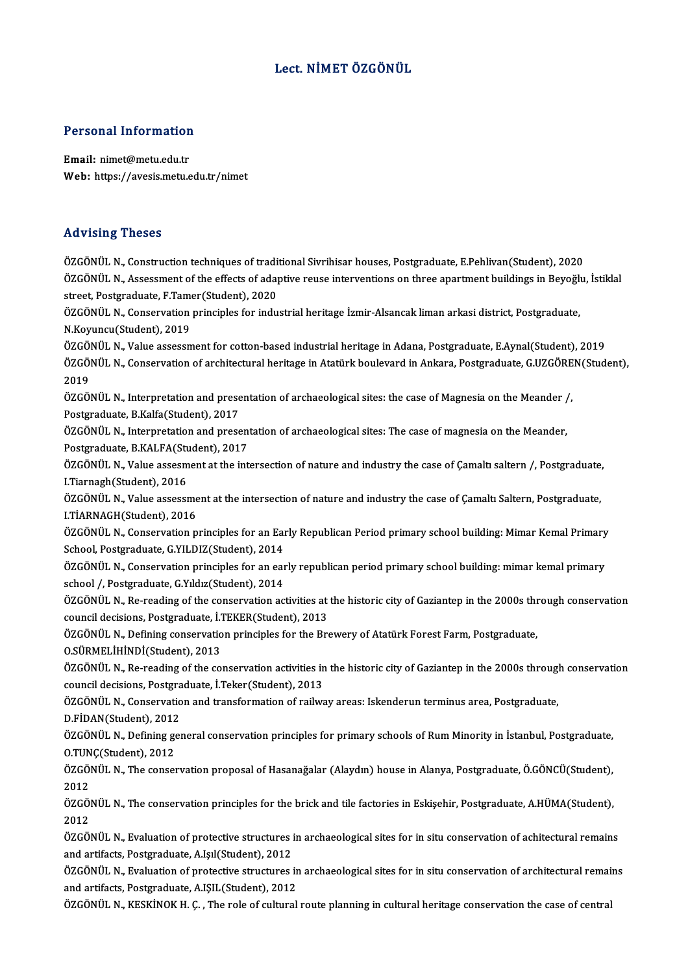### Lect. NİMET ÖZGÖNÜL

# Personal Information

Personal Information<br>Email: nimet@metu.edu.tr<br>Web: https://avesis.metu.e Email: nimet@metu.edu.tr<br>Web: https://avesis.metu.edu.tr/nimet

#### Advising Theses

ÖZGÖNÜLN.,Constructiontechniques of traditionalSivrihisar houses,Postgraduate,E.Pehlivan(Student),2020 ÖZGÖNÜL N., Assessment of the effects of adaptive reuse interventions on three apartment buildings in Beyoğlu, İstiklal ÖZGÖNÜL N., Construction techniques of tradiential CZGÖNÜL N., Assessment of the effects of adaptreet, Postgraduate, F.Tamer(Student), 2020<br>GZGÖNÜL N., Conservation principles for indu ÖZGÖNÜL N., Assessment of the effects of adaptive reuse interventions on three apartment buildings in Beyoğl<mark>ı</mark><br>street, Postgraduate, F.Tamer(Student), 2020<br>ÖZGÖNÜL N., Conservation principles for industrial heritage İzmir street, Postgraduate, F.Tame<br>ÖZGÖNÜL N., Conservation<br>N.Koyuncu(Student), 2019<br>ÖZGÖNÜL N. Volue assessr ÖZGÖNÜL N., Conservation principles for industrial heritage İzmir-Alsancak liman arkasi district, Postgraduate,<br>N.Koyuncu(Student), 2019<br>ÖZGÖNÜL N., Value assessment for cotton-based industrial heritage in Adana, Postgradu N.Koyuncu(Student), 2019<br>ÖZGÖNÜL N., Value assessment for cotton-based industrial heritage in Adana, Postgraduate, E.Aynal(Student), 2019<br>ÖZGÖNÜL N., Conservation of architectural heritage in Atatürk boulevard in Ankara, P ÖZGÖNÜL N., Value assessment for cotton-based industrial heritage in Adana, Postgraduate, E.Aynal(Student), 2019 ÖZGÖNÜL N., Conservation of architectural heritage in Atatürk boulevard in Ankara, Postgraduate, G.UZGÖRE<br>2019<br>ÖZGÖNÜL N., Interpretation and presentation of archaeological sites: the case of Magnesia on the Meander /,<br>Pes 2019<br>ÖZGÖNÜL N., Interpretation and prese<br>Postgraduate, B.Kalfa(Student), 2017<br>ÖZGÖNÜL N., Interpretation and press ÖZGÖNÜL N., Interpretation and presentation of archaeological sites: the case of Magnesia on the Meander /<br>Postgraduate, B.Kalfa(Student), 2017<br>ÖZGÖNÜL N., Interpretation and presentation of archaeological sites: The case Postgraduate, B.Kalfa(Student), 2017<br>ÖZGÖNÜL N., Interpretation and presentation of archaeological sites: The case of magnesia on the Meander,<br>Postgraduate, B.KALFA(Student), 2017 ÖZGÖNÜL N., Interpretation and presentation of archaeological sites: The case of magnesia on the Meander,<br>Postgraduate, B.KALFA(Student), 2017<br>ÖZGÖNÜL N., Value assesment at the intersection of nature and industry the case Postgraduate, B.KALFA(Student)<br>ÖZGÖNÜL N., Value assesm<br>I.Tiarnagh(Student), 2016<br>ÖZGÖNÜL N. Value assessi ÖZGÖNÜL N., Value assesment at the intersection of nature and industry the case of Çamaltı saltern /, Postgraduate,<br>I.Tiarnagh(Student), 2016<br>ÖZGÖNÜL N., Value assessment at the intersection of nature and industry the case I.Tiarnagh(Student), 2016<br>ÖZGÖNÜL N., Value assessment at the intersection of nature and industry the case of Çamaltı Saltern, Postgraduate,<br>I.TİARNAGH(Student), 2016 ÖZGÖNÜL N., Value assessment at the intersection of nature and industry the case of Çamaltı Saltern, Postgraduate,<br>I.TİARNAGH(Student), 2016<br>ÖZGÖNÜL N., Conservation principles for an Early Republican Period primary school I.TİARNAGH(Student), 2016<br>ÖZGÖNÜL N., Conservation principles for an Ear<br>School, Postgraduate, G.YILDIZ(Student), 2014<br>ÖZGÖNÜL N. Conservation principles for an ear ÖZGÖNÜL N., Conservation principles for an Early Republican Period primary school building: Mimar Kemal Primary<br>School, Postgraduate, G.YILDIZ(Student), 2014<br>ÖZGÖNÜL N., Conservation principles for an early republican peri School, Postgraduate, G.YILDIZ(Student), 2014<br>ÖZGÖNÜL N., Conservation principles for an ear<br>school /, Postgraduate, G.Yıldız(Student), 2014<br>ÖZGÖNÜL N. Po reading of the conservation as ÖZGÖNÜL N., Conservation principles for an early republican period primary school building: mimar kemal primary<br>school /, Postgraduate, G.Yıldız(Student), 2014<br>ÖZGÖNÜL N., Re-reading of the conservation activities at the h school /, Postgraduate, G.Yıldız(Student), 2014<br>ÖZGÖNÜL N., Re-reading of the conservation activities at<br>council decisions, Postgraduate, İ.TEKER(Student), 2013<br>ÖZGÖNÜL N. Defining conservation principles for the Bra ÖZGÖNÜL N., Re-reading of the conservation activities at the historic city of Gaziantep in the 2000s thr<br>council decisions, Postgraduate, İ.TEKER(Student), 2013<br>ÖZGÖNÜL N., Defining conservation principles for the Brewery council decisions, Postgraduate, İ.TEKER(Student), 2013<br>ÖZGÖNÜL N., Defining conservation principles for the Brewery of Atatürk Forest Farm, Postgraduate,<br>O.SÜRMELİHİNDİ(Student), 2013 ÖZGÖNÜL N., Defining conservation principles for the Brewery of Atatürk Forest Farm, Postgraduate,<br>O.SÜRMELİHİNDİ(Student), 2013<br>ÖZGÖNÜL N., Re-reading of the conservation activities in the historic city of Gaziantep in th O.SÜRMELİHİNDİ(Student), 2013<br>ÖZGÖNÜL N., Re-reading of the conservation activities in<br>council decisions, Postgraduate, İ.Teker(Student), 2013<br>ÖZGÖNÜL N. Conservation and transformation of reilyg ÖZGÖNÜL N., Re-reading of the conservation activities in the historic city of Gaziantep in the 2000s througl<br>council decisions, Postgraduate, İ.Teker(Student), 2013<br>ÖZGÖNÜL N., Conservation and transformation of railway ar council decisions, Postgraduate, İ.Teker(Student), 2013<br>ÖZGÖNÜL N., Conservation and transformation of railway areas: Iskenderun terminus area, Postgraduate,<br>D.FİDAN(Student), 2012 ÖZGÖNÜL N., Defining general conservation principles for primary schools of Rum Minority in İstanbul, Postgraduate, O.TUNÇ(Student),2012 ÖZGÖNÜL N., Defining general conservation principles for primary schools of Rum Minority in İstanbul, Postgraduate,<br>O.TUNÇ(Student), 2012<br>ÖZGÖNÜL N., The conservation proposal of Hasanağalar (Alaydın) house in Alanya, Post 0.<mark>TUN</mark><br>ÖZGÖ<br>2012 ÖZGÖNÜL N., The conservation proposal of Hasanağalar (Alaydın) house in Alanya, Postgraduate, Ö.GÖNCÜ(Student),<br>2012<br>ÖZGÖNÜL N., The conservation principles for the brick and tile factories in Eskişehir, Postgraduate, A.HÜ 2012<br>ÖZGÖNÜL N., The conservation principles for the brick and tile factories in Eskişehir, Postgraduate, A.HÜMA(Student),<br>2012 ÖZGÖNÜL N., The conservation principles for the brick and tile factories in Eskişehir, Postgraduate, A.HÜMA(Student),<br>2012<br>ÖZGÖNÜL N., Evaluation of protective structures in archaeological sites for in situ conservation of 2012<br>ÖZGÖNÜL N., Evaluation of protective structures i<br>and artifacts, Postgraduate, A.Işıl(Student), 2012<br>ÖZGÖNÜL N., Evaluation of protective structures i ÖZGÖNÜL N., Evaluation of protective structures in archaeological sites for in situ conservation of achitectural remains<br>and artifacts, Postgraduate, A.Işıl(Student), 2012<br>ÖZGÖNÜL N., Evaluation of protective structures in and artifacts, Postgraduate, A.Işıl(Student), 2012<br>ÖZGÖNÜL N., Evaluation of protective structures in<br>and artifacts, Postgraduate, A.IŞIL(Student), 2012<br>ÖZGÖNÜL N. KESKİNOK H.C., The rele of sultural ÖZGÖNÜL N., Evaluation of protective structures in archaeological sites for in situ conservation of architectural remai<br>and artifacts, Postgraduate, A.IŞIL(Student), 2012<br>ÖZGÖNÜL N., KESKİNOK H. Ç. , The role of cultural r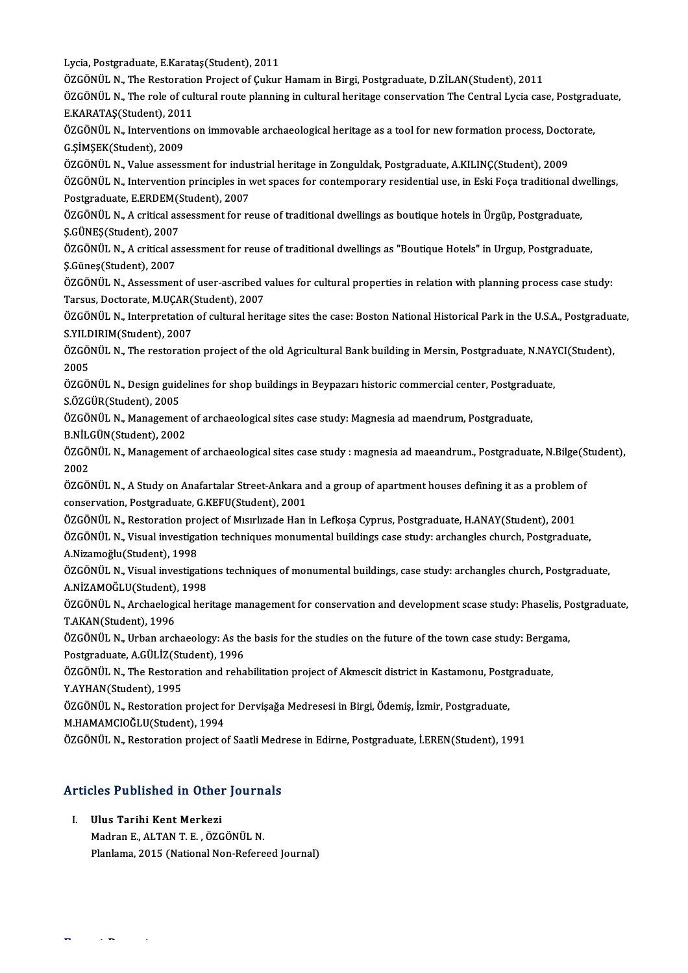Lycia, Postgraduate, E.Karataş(Student), 2011

Lycia, Postgraduate, E.Karataş(Student), 2011<br>ÖZGÖNÜL N., The Restoration Project of Çukur Hamam in Birgi, Postgraduate, D.ZİLAN(Student), 2011<br>ÖZGÖNÜL N., The rele of sultural reute planning in sultural beritage sensewyst

ÖZGÖNÜL N., The role of cultural route planning in cultural heritage conservation The Central Lycia case, Postgraduate, ÖZGÖNÜL N., The Restoratio<br>ÖZGÖNÜL N., The role of cul<br>E.KARATAŞ(Student), 2011<br>ÖZGÖNÜL N. Interventione ÖZGÖNÜL N., The role of cultural route planning in cultural heritage conservation The Central Lycia case, Postgrad<br>E.KARATAŞ(Student), 2011<br>ÖZGÖNÜL N., Interventions on immovable archaeological heritage as a tool for new f

E.KARATAŞ(Student), 2011<br>ÖZGÖNÜL N., Interventions<br>G.ŞİMŞEK(Student), 2009 ÖZGÖNÜL N., Interventions on immovable archaeological heritage as a tool for new formation process, Docto<br>G.ŞİMŞEK(Student), 2009<br>ÖZGÖNÜL N., Value assessment for industrial heritage in Zonguldak, Postgraduate, A.KILINÇ(St

ÖZGÖNÜL N., Intervention principles in wet spaces for contemporary residential use, in Eski Foça traditional dwellings,<br>Postgraduate, E,ERDEM(Student), 2007 ÖZGÖNÜL N., Value assessment for industrial heritage in Zonguldak, Postgraduate, A.KILINÇ(Student), 2009 ÖZGÖNÜL N., Intervention principles in wet spaces for contemporary residential use, in Eski Foça traditional dw<br>Postgraduate, E.ERDEM(Student), 2007<br>ÖZGÖNÜL N., A critical assessment for reuse of traditional dwellings as b

Postgraduate, E.ERDEM(S.<br>ÖZGÖNÜL N., A critical as:<br>Ş.GÜNEŞ(Student), 2007<br>ÖZGÖNÜL N. A critical as: ÖZGÖNÜL N., A critical assessment for reuse of traditional dwellings as boutique hotels in Ürgüp, Postgraduate,<br>Ş.GÜNEŞ(Student), 2007<br>ÖZGÖNÜL N., A critical assessment for reuse of traditional dwellings as "Boutique Hotel

Ş.GÜNEŞ(Student), 2007<br>ÖZGÖNÜL N., A critical assessment for reuse of traditional dwellings as "Boutique Hotels" in Urgup, Postgraduate,<br>Ş.Güneş(Student), 2007 ÖZGÖNÜL N., A critical assessment for reuse of traditional dwellings as "Boutique Hotels" in Urgup, Postgraduate,<br>\$.Güneş(Student), 2007<br>ÖZGÖNÜL N., Assessment of user-ascribed values for cultural properties in relation wi

\$.Güneş(Student), 2007<br>ÖZGÖNÜL N., Assessment of user-ascribed v<br>Tarsus, Doctorate, M.UÇAR(Student), 2007<br>ÖZGÖNÜL N., Internretation of sultural berü ÖZGÖNÜL N., Assessment of user-ascribed values for cultural properties in relation with planning process case study:<br>Tarsus, Doctorate, M.UÇAR(Student), 2007<br>ÖZGÖNÜL N., Interpretation of cultural heritage sites the case: Tarsus, Doctorate, M.UÇAR(Student), 2007

S.YILDIRIM(Student), 2007

ÖZGÖNÜL N., Interpretation of cultural heritage sites the case: Boston National Historical Park in the U.S.A., Postgraduate,<br>S.YILDIRIM(Student), 2007<br>ÖZGÖNÜL N., The restoration project of the old Agricultural Bank buildi ÖZGÖNÜL N., The restoration project of the old Agricultural Bank building in Mersin, Postgraduate, N.NAYCI(Student),<br>2005<br>ÖZGÖNÜL N., Design guidelines for shop buildings in Beypazarı historic commercial center, Postgradua

2005<br>ÖZGÖNÜL N., Design guid<br>S.ÖZGÜR(Student), 2005<br>ÖZCÖNÜL N. Managamar ÖZGÖNÜL N., Design guidelines for shop buildings in Beypazarı historic commercial center, Postgradı<br>S.ÖZGÜR(Student), 2005<br>ÖZGÖNÜL N., Management of archaeological sites case study: Magnesia ad maendrum, Postgraduate,<br>P.N.

ÖZGÖNÜL N., Management of archaeological sites case study: Magnesia ad maendrum, Postgraduate,<br>B.NİLGÜN(Student), 2002

ÖZGÖNÜL N., Management of archaeological sites case study: Magnesia ad maendrum, Postgraduate,<br>B.NİLGÜN(Student), 2002<br>ÖZGÖNÜL N., Management of archaeological sites case study : magnesia ad maeandrum., Postgraduate, N.Bil <mark>B NİL</mark><br>ÖZGÖ<br>2002<br>ÖZCÖ ÖZGÖNÜL N., Management of archaeological sites case study : magnesia ad maeandrum., Postgraduate, N.Bilge(S<br>2002<br>ÖZGÖNÜL N., A Study on Anafartalar Street-Ankara and a group of apartment houses defining it as a problem of<br>

2002<br>ÖZGÖNÜL N., A Study on Anafartalar Street-Ankara a<br>conservation, Postaration preject of Murrluade Han<br>ÖZGÖNÜL N., Postaration preject of Murrluade Han ÖZGÖNÜL N., A Study on Anafartalar Street-Ankara and a group of apartment houses defining it as a problem of conservation, Postgraduate, G.KEFU(Student), 2001<br>ÖZGÖNÜL N., Restoration project of Mısırlızade Han in Lefkoşa C

conservation, Postgraduate, G.KEFU(Student), 2001<br>ÖZGÖNÜL N., Restoration project of Mısırlızade Han in Lefkoşa Cyprus, Postgraduate, H.ANAY(Student), 2001<br>ÖZGÖNÜL N., Visual investigation techniques monumental buildings c ÖZGÖNÜL N., Restoration pro<br>ÖZGÖNÜL N., Visual investiga<br>A.Nizamoğlu(Student), 1998<br>ÖZGÖNÜL N. Visual investiga ÖZGÖNÜL N., Visual investigation techniques monumental buildings case study: archangles church, Postgraduate,<br>A.Nizamoğlu(Student), 1998<br>ÖZGÖNÜL N., Visual investigations techniques of monumental buildings, case study: arc

A.Nizamoğlu(Student), 1998<br>ÖZGÖNÜL N., Visual investigations techniques of monumental buildings, case study: archangles church, Postgraduate,<br>A.NİZAMOĞLU(Student), 1998 ÖZGÖNÜL N., Visual investigations techniques of monumental buildings, case study: archangles church, Postgraduate,<br>A.NİZAMOĞLU(Student), 1998<br>ÖZGÖNÜL N., Archaelogical heritage management for conservation and development s

A.NİZAMOĞLU(Student),<br>ÖZGÖNÜL N., Archaelogi<br>T.AKAN(Student), 1996 ÖZGÖNÜL N., Archaelogical heritage management for conservation and development scase study: Phaselis, Po<br>T.AKAN(Student), 1996<br>ÖZGÖNÜL N., Urban archaeology: As the basis for the studies on the future of the town case stud

T.AKAN(Student), 1996<br>ÖZGÖNÜL N., Urban archaeology: As th<br>Postgraduate, A.GÜLİZ(Student), 1996<br>ÖZGÖNÜL N. The Pestenstian and rehe ÖZGÖNÜL N., Urban archaeology: As the basis for the studies on the future of the town case study: Berga<br>Postgraduate, A.GÜLİZ(Student), 1996<br>ÖZGÖNÜL N., The Restoration and rehabilitation project of Akmescit district in Ka

Postgraduate, A.GÜLİZ(Student), 1996<br>ÖZGÖNÜL N., The Restoration and reha<br>Y.AYHAN(Student), 1995 ÖZGÖNÜL N., The Restoration and rehabilitation project of Akmescit district in Kastamonu, Postgraduate,<br>Y.AYHAN(Student), 1995<br>ÖZGÖNÜL N., Restoration project for Dervişağa Medresesi in Birgi, Ödemiş, İzmir, Postgraduate,<br>

ÖZGÖNÜL N., Restoration project for Dervişağa Medresesi in Birgi, Ödemiş, İzmir, Postgraduate,

ÖZGÖNÜL N., Restoration project of Saatli Medrese in Edirne, Postgraduate, İ.EREN(Student), 1991

# ozgonol n., restoration project of saatif medi<br>Articles Published in Other Journals **Tricles Published in Other**<br>I. Ulus Tarihi Kent Merkezi<br>Medrer E. ALTAN T. F. ÖZC

I. Ulus Tarihi Kent Merkezi<br>Madran E., ALTAN T. E., ÖZGÖNÜL N.

ExpertReports

Planlama, 2015 (National Non-Refereed Journal)